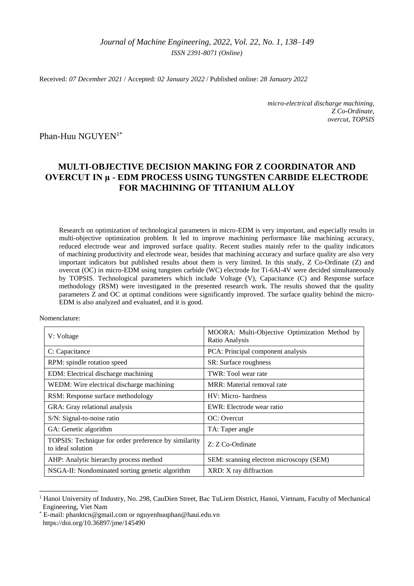## *Journal of Machine Engineering, 2022*, *Vol. 22, No. 1, 138–149 ISSN 2391-8071 (Online)*

Received*: 07 December 2021* / Accepted: *02 January 2022* / Published online: *28 January 2022*

*micro-electrical discharge machining, Z Co-Ordinate, overcut, TOPSIS*

Phan-Huu NGUYEN<sup>1\*</sup>

# **MULTI-OBJECTIVE DECISION MAKING FOR Z COORDINATOR AND OVERCUT IN µ - EDM PROCESS USING TUNGSTEN CARBIDE ELECTRODE FOR MACHINING OF TITANIUM ALLOY**

Research on optimization of technological parameters in micro-EDM is very important, and especially results in multi-objective optimization problem. It led to improve machining performance like machining accuracy, reduced electrode wear and improved surface quality. Recent studies mainly refer to the quality indicators of machining productivity and electrode wear, besides that machining accuracy and surface quality are also very important indicators but published results about them is very limited. In this study, Z Co-Ordinate (Z) and overcut (OC) in micro-EDM using tungsten carbide (WC) electrode for Ti-6Al-4V were decided simultaneously by TOPSIS. Technological parameters which include Voltage (V), Capacitance (C) and Response surface methodology (RSM) were investigated in the presented research work. The results showed that the quality parameters Z and OC at optimal conditions were significantly improved. The surface quality behind the micro-EDM is also analyzed and evaluated, and it is good.

Nomenclature:

\_\_\_\_\_\_\_\_\_\_\_\_\_

| V: Voltage                                                                | MOORA: Multi-Objective Optimization Method by<br>Ratio Analysis |
|---------------------------------------------------------------------------|-----------------------------------------------------------------|
| C: Capacitance                                                            | PCA: Principal component analysis                               |
| RPM: spindle rotation speed                                               | SR: Surface roughness                                           |
| EDM: Electrical discharge machining                                       | TWR: Tool wear rate                                             |
| WEDM: Wire electrical discharge machining                                 | MRR: Material removal rate                                      |
| RSM: Response surface methodology                                         | HV: Micro-hardness                                              |
| GRA: Gray relational analysis                                             | EWR: Electrode wear ratio                                       |
| S/N: Signal-to-noise ratio                                                | OC: Overcut                                                     |
| GA: Genetic algorithm                                                     | TA: Taper angle                                                 |
| TOPSIS: Technique for order preference by similarity<br>to ideal solution | Z: Z Co-Ordinate                                                |
| AHP: Analytic hierarchy process method                                    | SEM: scanning electron microscopy (SEM)                         |
| NSGA-II: Nondominated sorting genetic algorithm                           | XRD: X ray diffraction                                          |

<sup>1</sup> Hanoi University of Industry, No. 298, CauDien Street, Bac TuLiem District, Hanoi, Vietnam, Faculty of Mechanical Engineering, Viet Nam

E-mail: [phanktcn@gmail.com](mailto:phanktcn@gmail.com) or nguyenhuuphan@haui.edu.vn <https://doi.org/10.36897/jme/145490>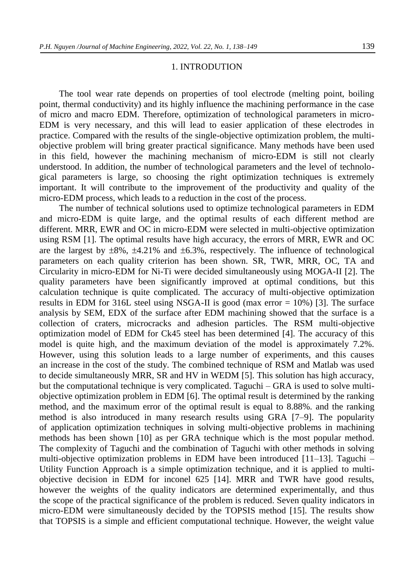## 1. INTRODUTION

The tool wear rate depends on properties of tool electrode (melting point, boiling point, thermal conductivity) and its highly influence the machining performance in the case of micro and macro EDM. Therefore, optimization of technological parameters in micro-EDM is very necessary, and this will lead to easier application of these electrodes in practice. Compared with the results of the single-objective optimization problem, the multiobjective problem will bring greater practical significance. Many methods have been used in this field, however the machining mechanism of micro-EDM is still not clearly understood. In addition, the number of technological parameters and the level of technological parameters is large, so choosing the right optimization techniques is extremely important. It will contribute to the improvement of the productivity and quality of the micro-EDM process, which leads to a reduction in the cost of the process.

The number of technical solutions used to optimize technological parameters in EDM and micro-EDM is quite large, and the optimal results of each different method are different. MRR, EWR and OC in micro-EDM were selected in multi-objective optimization using RSM [1]. The optimal results have high accuracy, the errors of MRR, EWR and OC are the largest by  $\pm 8\%$ ,  $\pm 4.21\%$  and  $\pm 6.3\%$ , respectively. The influence of technological parameters on each quality criterion has been shown. SR, TWR, MRR, OC, TA and Circularity in micro-EDM for Ni-Ti were decided simultaneously using MOGA-II [2]. The quality parameters have been significantly improved at optimal conditions, but this calculation technique is quite complicated. The accuracy of multi-objective optimization results in EDM for 316L steel using NSGA-II is good (max error = 10%) [3]. The surface analysis by SEM, EDX of the surface after EDM machining showed that the surface is a collection of craters, microcracks and adhesion particles. The RSM multi-objective optimization model of EDM for Ck45 steel has been determined [4]. The accuracy of this model is quite high, and the maximum deviation of the model is approximately 7.2%. However, using this solution leads to a large number of experiments, and this causes an increase in the cost of the study. The combined technique of RSM and Matlab was used to decide simultaneously MRR, SR and HV in WEDM [5]. This solution has high accuracy, but the computational technique is very complicated. Taguchi – GRA is used to solve multiobjective optimization problem in EDM [6]. The optimal result is determined by the ranking method, and the maximum error of the optimal result is equal to 8.88%. and the ranking method is also introduced in many research results using GRA [7–9]. The popularity of application optimization techniques in solving multi-objective problems in machining methods has been shown [10] as per GRA technique which is the most popular method. The complexity of Taguchi and the combination of Taguchi with other methods in solving multi-objective optimization problems in EDM have been introduced [11–13]. Taguchi – Utility Function Approach is a simple optimization technique, and it is applied to multiobjective decision in EDM for inconel 625 [14]. MRR and TWR have good results, however the weights of the quality indicators are determined experimentally, and thus the scope of the practical significance of the problem is reduced. Seven quality indicators in micro-EDM were simultaneously decided by the TOPSIS method [15]. The results show that TOPSIS is a simple and efficient computational technique. However, the weight value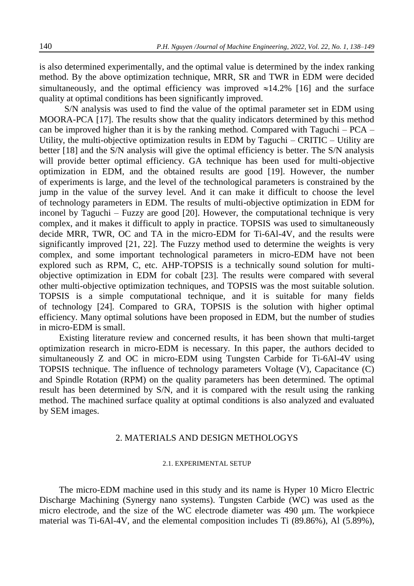is also determined experimentally, and the optimal value is determined by the index ranking method. By the above optimization technique, MRR, SR and TWR in EDM were decided simultaneously, and the optimal efficiency was improved  $\approx$ 14.2% [16] and the surface quality at optimal conditions has been significantly improved.

S/N analysis was used to find the value of the optimal parameter set in EDM using MOORA-PCA [17]. The results show that the quality indicators determined by this method can be improved higher than it is by the ranking method. Compared with Taguchi – PCA – Utility, the multi-objective optimization results in EDM by Taguchi – CRITIC – Utility are better [18] and the S/N analysis will give the optimal efficiency is better. The S/N analysis will provide better optimal efficiency. GA technique has been used for multi-objective optimization in EDM, and the obtained results are good [19]. However, the number of experiments is large, and the level of the technological parameters is constrained by the jump in the value of the survey level. And it can make it difficult to choose the level of technology parameters in EDM. The results of multi-objective optimization in EDM for inconel by Taguchi – Fuzzy are good [20]. However, the computational technique is very complex, and it makes it difficult to apply in practice. TOPSIS was used to simultaneously decide MRR, TWR, OC and TA in the micro-EDM for Ti-6Al-4V, and the results were significantly improved [21, 22]. The Fuzzy method used to determine the weights is very complex, and some important technological parameters in micro-EDM have not been explored such as RPM, C, etc. AHP-TOPSIS is a technically sound solution for multiobjective optimization in EDM for cobalt [23]. The results were compared with several other multi-objective optimization techniques, and TOPSIS was the most suitable solution. TOPSIS is a simple computational technique, and it is suitable for many fields of technology [24]. Compared to GRA, TOPSIS is the solution with higher optimal efficiency. Many optimal solutions have been proposed in EDM, but the number of studies in micro-EDM is small.

Existing literature review and concerned results, it has been shown that multi-target optimization research in micro-EDM is necessary. In this paper, the authors decided to simultaneously Z and OC in micro-EDM using Tungsten Carbide for Ti-6Al-4V using TOPSIS technique. The influence of technology parameters Voltage (V), Capacitance (C) and Spindle Rotation (RPM) on the quality parameters has been determined. The optimal result has been determined by S/N, and it is compared with the result using the ranking method. The machined surface quality at optimal conditions is also analyzed and evaluated by SEM images.

## 2. MATERIALS AND DESIGN METHOLOGYS

## 2.1. EXPERIMENTAL SETUP

The micro-EDM machine used in this study and its name is Hyper 10 Micro Electric Discharge Machining (Synergy nano systems). Tungsten Carbide (WC) was used as the micro electrode, and the size of the WC electrode diameter was 490 μm. The workpiece material was Ti-6Al-4V, and the elemental composition includes Ti (89.86%), Al (5.89%),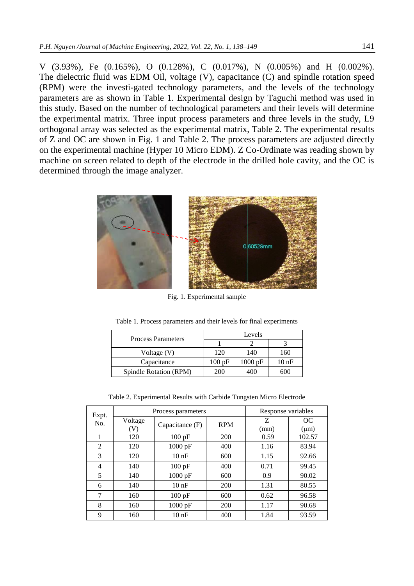V (3.93%), Fe (0.165%), O (0.128%), C (0.017%), N (0.005%) and H (0.002%). The dielectric fluid was EDM Oil, voltage (V), capacitance (C) and spindle rotation speed (RPM) were the investi-gated technology parameters, and the levels of the technology parameters are as shown in Table 1. Experimental design by Taguchi method was used in this study. Based on the number of technological parameters and their levels will determine the experimental matrix. Three input process parameters and three levels in the study, L9 orthogonal array was selected as the experimental matrix, Table 2. The experimental results of Z and OC are shown in Fig. 1 and Table 2. The process parameters are adjusted directly on the experimental machine (Hyper 10 Micro EDM). Z Co-Ordinate was reading shown by machine on screen related to depth of the electrode in the drilled hole cavity, and the OC is determined through the image analyzer.



Fig. 1. Experimental sample

| <b>Process Parameters</b> | Levels |                   |                  |  |  |  |
|---------------------------|--------|-------------------|------------------|--|--|--|
|                           |        |                   |                  |  |  |  |
| Voltage (V)               | 120    | 140               | 160              |  |  |  |
| Capacitance               | 100pF  | $1000 \text{ pF}$ | 10 <sub>nF</sub> |  |  |  |
| Spindle Rotation (RPM)    | 200    | 400               | 600              |  |  |  |

Table 1. Process parameters and their levels for final experiments

Table 2. Experimental Results with Carbide Tungsten Micro Electrode

| Expt.<br>No. |         | Process parameters | Response variables |      |           |  |
|--------------|---------|--------------------|--------------------|------|-----------|--|
|              | Voltage | Capacitance $(F)$  | <b>RPM</b>         | Ζ    | OC        |  |
|              | (V)     |                    |                    | (mm) | $(\mu m)$ |  |
|              | 120     | 100 pF             | 200                | 0.59 | 102.57    |  |
| 2            | 120     | $1000$ pF          | 400                | 1.16 | 83.94     |  |
| 3            | 120     | 10nF               | 600                | 1.15 | 92.66     |  |
| 4            | 140     | $100$ pF           | 400                | 0.71 | 99.45     |  |
| 5            | 140     | 1000 pF            | 600                | 0.9  | 90.02     |  |
| 6            | 140     | 10nF               | 200                | 1.31 | 80.55     |  |
| 7            | 160     | 100 pF             | 600                | 0.62 | 96.58     |  |
| 8            | 160     | 1000 pF            | 200                | 1.17 | 90.68     |  |
| 9            | 160     | $10$ nF            | 400                | 1.84 | 93.59     |  |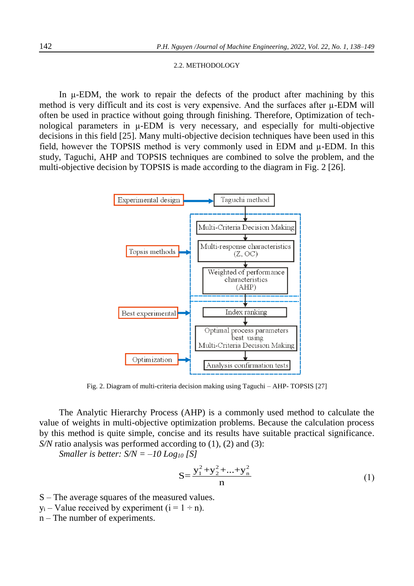#### 2.2. METHODOLOGY

In µ-EDM, the work to repair the defects of the product after machining by this method is very difficult and its cost is very expensive. And the surfaces after  $\mu$ -EDM will often be used in practice without going through finishing. Therefore, Optimization of technological parameters in µ-EDM is very necessary, and especially for multi-objective decisions in this field [25]. Many multi-objective decision techniques have been used in this field, however the TOPSIS method is very commonly used in EDM and µ-EDM. In this study, Taguchi, AHP and TOPSIS techniques are combined to solve the problem, and the multi-objective decision by TOPSIS is made according to the diagram in Fig. 2 [26].



Fig. 2. Diagram of multi-criteria decision making using Taguchi – AHP- TOPSIS [27]

The Analytic Hierarchy Process (AHP) is a commonly used method to calculate the value of weights in multi-objective optimization problems. Because the calculation process by this method is quite simple, concise and its results have suitable practical significance. *S/N* ratio analysis was performed according to (1), (2) and (3):

*Smaller is better: S/N = –10 Log<sup>10</sup> [S]*

$$
S = \frac{y_1^2 + y_2^2 + \dots + y_n^2}{n}
$$
 (1)

- S The average squares of the measured values.
- $y_i$  Value received by experiment ( $i = 1 \div n$ ).
- n The number of experiments.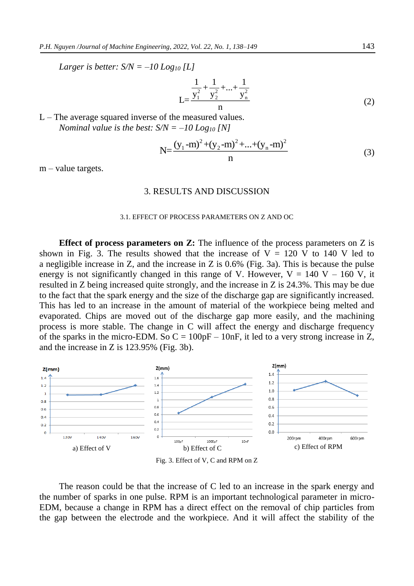*Larger is better: S/N = –10 Log<sup>10</sup> [L]*

$$
L = \frac{\frac{1}{y_1^2} + \frac{1}{y_2^2} + \dots + \frac{1}{y_n^2}}{n}
$$
 (2)

L – The average squared inverse of the measured values. *Nominal value is the best: S/N = –10 Log<sup>10</sup> [N]*

$$
N = \frac{(y_1 - m)^2 + (y_2 - m)^2 + \dots + (y_n - m)^2}{n}
$$
 (3)

 $m$  – value targets.

## 3. RESULTS AND DISCUSSION

#### 3.1. EFFECT OF PROCESS PARAMETERS ON Z AND OC

**Effect of process parameters on Z:** The influence of the process parameters on Z is shown in Fig. 3. The results showed that the increase of  $V = 120$  V to 140 V led to a negligible increase in Z, and the increase in Z is 0.6% (Fig. 3a). This is because the pulse energy is not significantly changed in this range of V. However,  $V = 140$  V – 160 V, it resulted in Z being increased quite strongly, and the increase in Z is 24.3%. This may be due to the fact that the spark energy and the size of the discharge gap are significantly increased. This has led to an increase in the amount of material of the workpiece being melted and evaporated. Chips are moved out of the discharge gap more easily, and the machining process is more stable. The change in C will affect the energy and discharge frequency of the sparks in the micro-EDM. So  $C = 100pF - 10nF$ , it led to a very strong increase in Z, and the increase in Z is 123.95% (Fig. 3b).



The reason could be that the increase of C led to an increase in the spark energy and the number of sparks in one pulse. RPM is an important technological parameter in micro-EDM, because a change in RPM has a direct effect on the removal of chip particles from the gap between the electrode and the workpiece. And it will affect the stability of the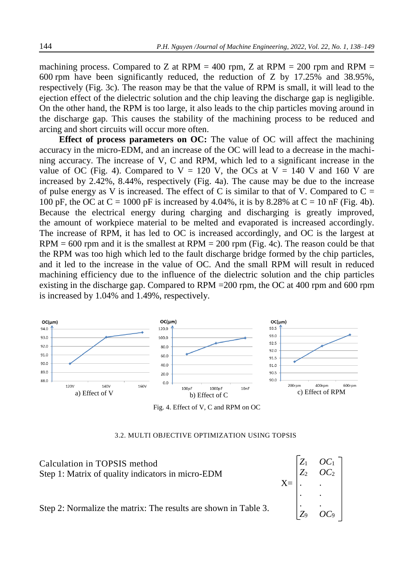machining process. Compared to Z at RPM = 400 rpm, Z at RPM = 200 rpm and RPM = 600 rpm have been significantly reduced, the reduction of Z by 17.25% and 38.95%, respectively (Fig. 3c). The reason may be that the value of RPM is small, it will lead to the ejection effect of the dielectric solution and the chip leaving the discharge gap is negligible. On the other hand, the RPM is too large, it also leads to the chip particles moving around in the discharge gap. This causes the stability of the machining process to be reduced and arcing and short circuits will occur more often.

**Effect of process parameters on OC:** The value of OC will affect the machining accuracy in the micro-EDM, and an increase of the OC will lead to a decrease in the machining accuracy. The increase of V, C and RPM, which led to a significant increase in the value of OC (Fig. 4). Compared to  $V = 120$  V, the OCs at  $V = 140$  V and 160 V are increased by 2.42%, 8.44%, respectively (Fig. 4a). The cause may be due to the increase of pulse energy as V is increased. The effect of C is similar to that of V. Compared to  $C =$ 100 pF, the OC at  $C = 1000$  pF is increased by 4.04%, it is by 8.28% at  $C = 10$  nF (Fig. 4b). Because the electrical energy during charging and discharging is greatly improved, the amount of workpiece material to be melted and evaporated is increased accordingly. The increase of RPM, it has led to OC is increased accordingly, and OC is the largest at  $RPM = 600$  rpm and it is the smallest at  $RPM = 200$  rpm (Fig. 4c). The reason could be that the RPM was too high which led to the fault discharge bridge formed by the chip particles, and it led to the increase in the value of OC. And the small RPM will result in reduced machining efficiency due to the influence of the dielectric solution and the chip particles existing in the discharge gap. Compared to RPM =200 rpm, the OC at 400 rpm and 600 rpm is increased by 1.04% and 1.49%, respectively.



Fig. 4. Effect of V, C and RPM on OC

#### 3.2. MULTI OBJECTIVE OPTIMIZATION USING TOPSIS

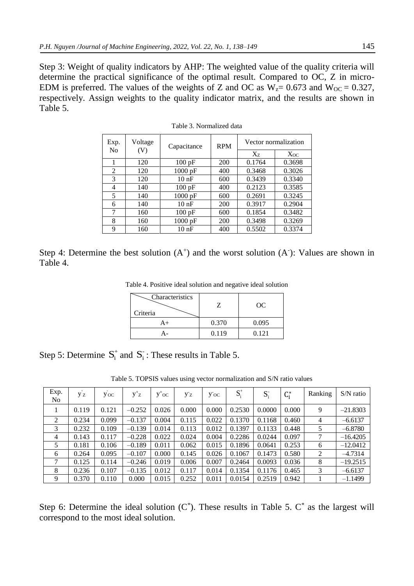Step 3: Weight of quality indicators by AHP: The weighted value of the quality criteria will determine the practical significance of the optimal result. Compared to OC, Z in micro-EDM is preferred. The values of the weights of Z and OC as  $W_{Z} = 0.673$  and  $W_{OC} = 0.327$ , respectively. Assign weights to the quality indicator matrix, and the results are shown in Table 5.

| Exp.           | Voltage | Capacitance       | <b>RPM</b> | Vector normalization |          |  |  |
|----------------|---------|-------------------|------------|----------------------|----------|--|--|
| N <sub>0</sub> | (V)     |                   |            | $X_{7}$              | $X_{OC}$ |  |  |
| 1              | 120     | 100pF             | 200        | 0.1764               | 0.3698   |  |  |
| 2              | 120     | $1000$ pF         | 400        | 0.3468               | 0.3026   |  |  |
| 3              | 120     | 10nF              | 600        | 0.3439               | 0.3340   |  |  |
| 4              | 140     | 100 pF            | 400        | 0.2123               | 0.3585   |  |  |
| 5              | 140     | $1000$ pF         | 600        | 0.2691               | 0.3245   |  |  |
| 6              | 140     | 10nF              | 200        | 0.3917               | 0.2904   |  |  |
| 7              | 160     | 100pF             | 600        | 0.1854               | 0.3482   |  |  |
| 8              | 160     | $1000 \text{ pF}$ | 200        | 0.3498               | 0.3269   |  |  |
| 9              | 160     | 10 <sub>nF</sub>  | 400        | 0.5502               | 0.3374   |  |  |

Table 3. Normalized data

|          | Step 4: Determine the best solution $(A^+)$ and the worst solution $(A^-)$ : Values are shown in |  |  |  |  |  |  |  |
|----------|--------------------------------------------------------------------------------------------------|--|--|--|--|--|--|--|
| Table 4. |                                                                                                  |  |  |  |  |  |  |  |

Table 4. Positive ideal solution and negative ideal solution

| <b>Characteristics</b><br>Criteria |       | OC    |
|------------------------------------|-------|-------|
| A+                                 | 0.370 | 0.095 |
|                                    | 0.119 | 0.121 |

Step 5: Determine  $S_i^+$  and  $S_i^-$ : These results in Table 5.

Table 5. TOPSIS values using vector normalization and S/N ratio values

| Exp.<br>N <sub>0</sub> | Уz    | y oc  | $y^{\dagger}z$ | $y^{\dagger}$ oc | Уz    | $y^{\dagger}$ OC | $S_i^+$ | $S_i$  | $C_i^*$ | Ranking        | $S/N$ ratio |
|------------------------|-------|-------|----------------|------------------|-------|------------------|---------|--------|---------|----------------|-------------|
|                        | 0.119 | 0.121 | $-0.252$       | 0.026            | 0.000 | 0.000            | 0.2530  | 0.0000 | 0.000   | 9              | $-21.8303$  |
| 2                      | 0.234 | 0.099 | $-0.137$       | 0.004            | 0.115 | 0.022            | 0.1370  | 0.1168 | 0.460   | 4              | $-6.6137$   |
| 3                      | 0.232 | 0.109 | $-0.139$       | 0.014            | 0.113 | 0.012            | 0.1397  | 0.1133 | 0.448   | 5              | $-6.8780$   |
| $\overline{4}$         | 0.143 | 0.117 | $-0.228$       | 0.022            | 0.024 | 0.004            | 0.2286  | 0.0244 | 0.097   |                | $-16.4205$  |
| 5                      | 0.181 | 0.106 | $-0.189$       | 0.011            | 0.062 | 0.015            | 0.1896  | 0.0641 | 0.253   | 6              | $-12.0412$  |
| 6                      | 0.264 | 0.095 | $-0.107$       | 0.000            | 0.145 | 0.026            | 0.1067  | 0.1473 | 0.580   | $\overline{2}$ | $-4.7314$   |
| 7                      | 0.125 | 0.114 | $-0.246$       | 0.019            | 0.006 | 0.007            | 0.2464  | 0.0093 | 0.036   | 8              | $-19.2515$  |
| 8                      | 0.236 | 0.107 | $-0.135$       | 0.012            | 0.117 | 0.014            | 0.1354  | 0.1176 | 0.465   | 3              | $-6.6137$   |
| 9                      | 0.370 | 0.110 | 0.000          | 0.015            | 0.252 | 0.011            | 0.0154  | 0.2519 | 0.942   |                | $-1.1499$   |

Step 6: Determine the ideal solution  $(C^*)$ . These results in Table 5.  $C^*$  as the largest will correspond to the most ideal solution.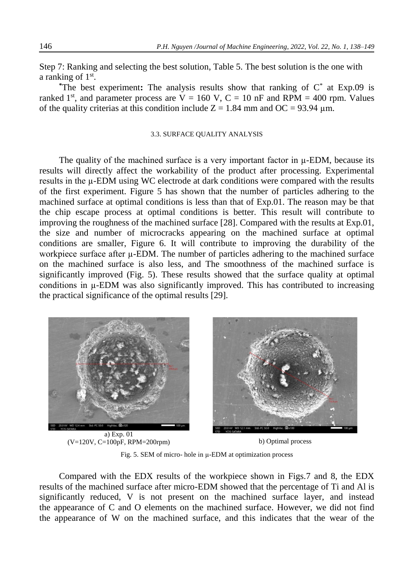Step 7: Ranking and selecting the best solution, Table 5. The best solution is the one with a ranking of 1<sup>st</sup>.

**\***The best experiment**:** The analysis results show that ranking of C\* at Exp.09 is ranked 1<sup>st</sup>, and parameter process are  $V = 160$  V,  $C = 10$  nF and RPM = 400 rpm. Values of the quality criterias at this condition include  $Z = 1.84$  mm and OC = 93.94 µm.

## 3.3. SURFACE QUALITY ANALYSIS

The quality of the machined surface is a very important factor in  $\mu$ -EDM, because its results will directly affect the workability of the product after processing. Experimental results in the µ-EDM using WC electrode at dark conditions were compared with the results of the first experiment. Figure 5 has shown that the number of particles adhering to the machined surface at optimal conditions is less than that of Exp.01. The reason may be that the chip escape process at optimal conditions is better. This result will contribute to improving the roughness of the machined surface [28]. Compared with the results at Exp.01, the size and number of microcracks appearing on the machined surface at optimal conditions are smaller, Figure 6. It will contribute to improving the durability of the workpiece surface after  $\mu$ -EDM. The number of particles adhering to the machined surface on the machined surface is also less, and The smoothness of the machined surface is significantly improved (Fig. 5). These results showed that the surface quality at optimal conditions in µ-EDM was also significantly improved. This has contributed to increasing the practical significance of the optimal results [29].



 $(V=120V, C=100pF, RPM=200rpm)$  b) Optimal process

Fig. 5. SEM of micro- hole in µ-EDM at optimization process

Compared with the EDX results of the workpiece shown in Figs.7 and 8, the EDX results of the machined surface after micro-EDM showed that the percentage of Ti and Al is significantly reduced, V is not present on the machined surface layer, and instead the appearance of C and O elements on the machined surface. However, we did not find the appearance of W on the machined surface, and this indicates that the wear of the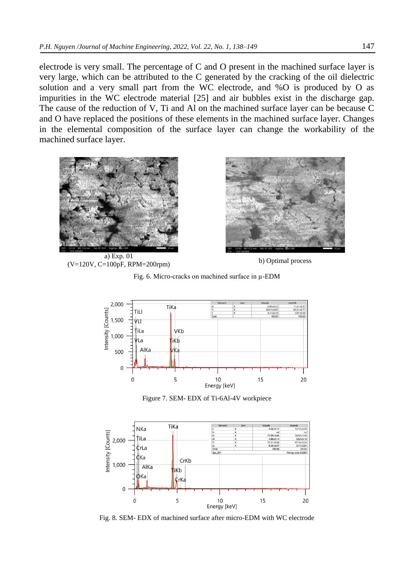electrode is very small. The percentage of C and O present in the machined surface layer is very large, which can be attributed to the C generated by the cracking of the oil dielectric solution and a very small part from the WC electrode, and %O is produced by O as impurities in the WC electrode material [25] and air bubbles exist in the discharge gap. The cause of the reduction of V, Ti and Al on the machined surface layer can be because C and O have replaced the positions of these elements in the machined surface layer. Changes in the elemental composition of the surface layer can change the workability of the machined surface layer.



a) Exp. 01  $(V=120V, C=100pF, RPM=200rpm)$  b) Optimal process







Figure 7. SEM- EDX of Ti-6Al-4V workpiece



Fig. 8. SEM- EDX of machined surface after micro-EDM with WC electrode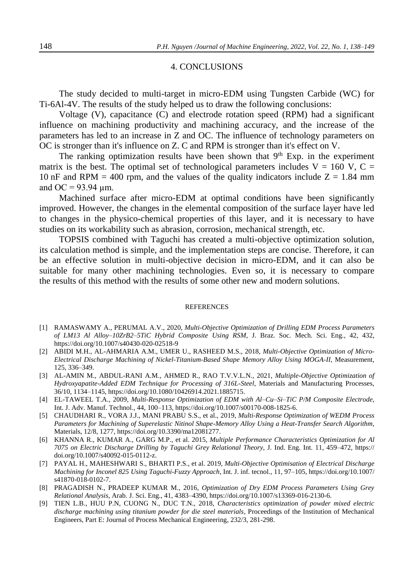## 4. CONCLUSIONS

The study decided to multi-target in micro-EDM using Tungsten Carbide (WC) for Ti-6Al-4V. The results of the study helped us to draw the following conclusions:

Voltage (V), capacitance (C) and electrode rotation speed (RPM) had a significant influence on machining productivity and machining accuracy, and the increase of the parameters has led to an increase in Z and OC. The influence of technology parameters on OC is stronger than it's influence on Z. C and RPM is stronger than it's effect on V.

The ranking optimization results have been shown that  $9<sup>th</sup>$  Exp. in the experiment matrix is the best. The optimal set of technological parameters includes  $V = 160$  V, C = 10 nF and RPM = 400 rpm, and the values of the quality indicators include  $Z = 1.84$  mm and OC =  $93.94 \mu$ m.

Machined surface after micro-EDM at optimal conditions have been significantly improved. However, the changes in the elemental composition of the surface layer have led to changes in the physico-chemical properties of this layer, and it is necessary to have studies on its workability such as abrasion, corrosion, mechanical strength, etc.

TOPSIS combined with Taguchi has created a multi-objective optimization solution, its calculation method is simple, and the implementation steps are concise. Therefore, it can be an effective solution in multi-objective decision in micro-EDM, and it can also be suitable for many other machining technologies. Even so, it is necessary to compare the results of this method with the results of some other new and modern solutions.

#### REFERENCES

- [1] RAMASWAMY A., PERUMAL A.V., 2020, *Multi-Objective Optimization of Drilling EDM Process Parameters of LM13 Al Alloy–10ZrB2–5TiC Hybrid Composite Using RSM*, J. Braz. Soc. Mech. Sci. Eng., 42, 432, <https://doi.org/10.1007/s40430-020-02518-9>
- [2] ABIDI M.H., AL-AHMARIA A.M., UMER U., RASHEED M.S., 2018, *Multi-Objective Optimization of Micro-Electrical Discharge Machining of Nickel-Titanium-Based Shape Memory Alloy Using MOGA-II*, Measurement, 125, 336–349.
- [3] AL-AMIN M., ABDUL-RANI A.M., AHMED R., RAO T.V.V.L.N., 2021, *Multiple-Objective Optimization of Hydroxyapatite-Added EDM Technique for Processing of 316L-Steel,* Materials and Manufacturing Processes, 36/10, 1134–1145, https://doi.org/10.1080/10426914.2021.1885715.
- [4] EL-TAWEEL T.A., 2009, *Multi-Response Optimization of EDM with Al–Cu–Si–TiC P/M Composite Electrode*, Int. J. Adv. Manuf. Technol., 44, 100–113, [https://doi.org/10.1007/s00170-008-1825-6.](https://doi.org/10.1007/s00170-008-1825-6)
- [5] CHAUDHARI R., VORA J.J., MANI PRABU S.S., et al., 2019, *Multi-Response Optimization of WEDM Process Parameters for Machining of Superelastic Nitinol Shape-Memory Alloy Using a Heat-Transfer Search Algorithm*, Materials, 12/8, 1277, [https://doi.org/10.3390/ma12081277.](https://doi.org/10.3390/ma12081277)
- [6] KHANNA R., KUMAR A., GARG M.P., et al. 2015, *Multiple Performance Characteristics Optimization for Al 7075 on Electric Discharge Drilling by Taguchi Grey Relational Theory*, J. Ind. Eng. Int. 11, 459–472, https:// doi.org/10.1007/s40092-015-0112-z.
- [7] PAYAL H., MAHESHWARI S., BHARTI P.S., et al. 2019, *Multi-Objective Optimisation of Electrical Discharge Machining for Inconel 825 Using Taguchi-Fuzzy Approach*, Int. J. inf. tecnol., 11, 97–105, [https://doi.org/10.1007/](https://doi.org/10.1007/%20s41870-018-0102-7)  [s41870-018-0102-7.](https://doi.org/10.1007/%20s41870-018-0102-7)
- [8] PRAGADISH N., PRADEEP KUMAR M., 2016, *Optimization of Dry EDM Process Parameters Using Grey Relational Analysis*, Arab. J. Sci. Eng., 41, 4383–4390, [https://doi.org/10.1007/s13369-016-2130-6.](https://doi.org/10.1007/s13369-016-2130-6)
- [9] TIEN L.B., HUU P.N, CUONG N., DUC T.N., 2018, *Characteristics optimization of powder mixed electric discharge machining using titanium powder for die steel materials*, Proceedings of the Institution of Mechanical Engineers, Part E: Journal of Process Mechanical Engineering, 232/3, 281-298.